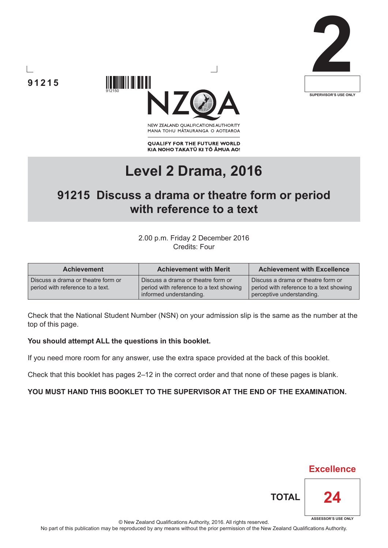





NEW ZEALAND OUALIFICATIONS AUTHORITY MANA TOHU MATAURANGA O AOTEAROA

**QUALIFY FOR THE FUTURE WORLD** KIA NOHO TAKATŪ KI TŌ ĀMUA AO!

# **Level 2 Drama, 2016**

## **91215 Discuss a drama or theatre form or period with reference to a text**

2.00 p.m. Friday 2 December 2016 Credits: Four

| <b>Achievement</b>                                                     | <b>Achievement with Merit</b>                                                                            | <b>Achievement with Excellence</b>                                                                         |  |
|------------------------------------------------------------------------|----------------------------------------------------------------------------------------------------------|------------------------------------------------------------------------------------------------------------|--|
| Discuss a drama or theatre form or<br>period with reference to a text. | Discuss a drama or theatre form or<br>period with reference to a text showing<br>informed understanding. | Discuss a drama or theatre form or<br>period with reference to a text showing<br>perceptive understanding. |  |

Check that the National Student Number (NSN) on your admission slip is the same as the number at the top of this page.

#### **You should attempt ALL the questions in this booklet.**

If you need more room for any answer, use the extra space provided at the back of this booklet.

Check that this booklet has pages 2–12 in the correct order and that none of these pages is blank.

#### **YOU MUST HAND THIS BOOKLET TO THE SUPERVISOR AT THE END OF THE EXAMINATION.**



**TOTAL**

**Excellence**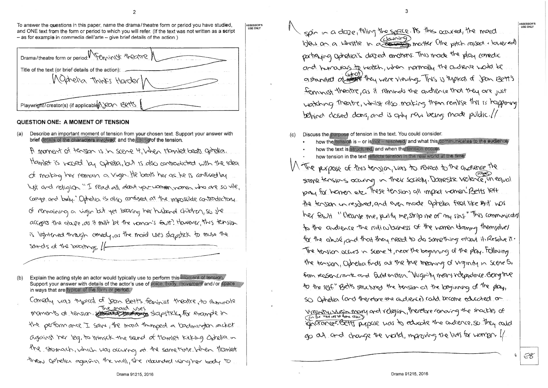To answer the questions in this paper, name the drama/theatre form or period you have studied, and ONE text from the form or period to which you will refer. (If the text was not written as a script  $-$  as for example in commedia dell'arte  $-$  give brief details of the action.)

ASSESSOR'S **USECOOL**Y

| Drama/theatre form or period! Penningst theatre                                |
|--------------------------------------------------------------------------------|
| Title of the text (or brief details of the action):<br>Maghetra Thinks Harder/ |
| Playwright/creator(s) (if applicable A) par Berts                              |

### QUESTION ONE: A MOMENT OF TENSION

Describe an important moment of tension from your chosen text. Support your answer with  $(a)$ brief details of the characters involved, and the cause of the tension. A moment of tension is in scene 4 when Manket begts optelier Hamlet is versed by candia, but is also contradicted with the idea of making her remain a virgin. He beats her as he is confised by ligt and religion "I read all death you women women who are so vile, Compt and buly." Ophelica is also confused at the impossible contradictory of remaining a vigin but yet bearing her historial children, so the accepts the glaute, as it must be the noming four? However, this tension is lightened through corredy, as the maid uses slapstick to muse the sands of the beatings. If

Explain the acting style an actor would typically use to perform this moment of tension.  $(b)$ Support your answer with details of the actor's use of voice, body, movement and/or space in ways that are typical of the form or period.

Comedy was typical of year Bett's feminist theorie, to illuminate moments of tension estate particular uses the performance I saw, the moved thinged a loadmington acker against the leg, to minick the send of tramlet kirking Optelia in the stormach, which was accurring at the same time. When Ylamlet threw ophelia against the wall, she related using her body to

spin in a daze, filling the space. As this occured, the maid bles on a whistle in a downing matter (the pitch raised , lowered) partiquing opholica's dazed enotions. This made the play correction and humavais to match, when normally the adrence would be gistranded of water they were viewing. This is typical of Jean Bett's ferminist theortre, as it reminds the andrence that they are just watching theatre, whilst also making them realise this is happening behind dosed doers, and is only now being made public.// Discuss the purpose of tension in the text. You could consider:  $(c)$ how the tension is - or is not - resolved, and what this communicates to the audience how the text is structured, and when the tension occurs how tension in the text reflects tension in the real world at the time. 1) The perpose of this tension, was to reveal to the quotience the same tensions occuring in their society. Damestic violence, in equal pay for homen etc. These tensions all impact volmen Betts left the tosion unresolved, and even mode Ophelia feel like but nos her fault "Cleanse me, perify me, strip me of my sins " This communicated to the andrence the ridicularies of the women bloming themselves for the abuse, and that they need to do something growt it Resolve it. The tension accurs in scene 4, near the beginning of the play. Following the tension, Ophelia finds at the the meaning of virginity in scene S. from ROSENCrante and Guild ention. "Virginity means independence. Being true to the self." Betts structured the tension at the beginning of the play, so Oghelia Cand therefore the audience) could become educated on Virginity, since in mary and veligion, therefore remaing the shackles of go at and change the vicild, improving the lives for wompon of

Ĝ.

EC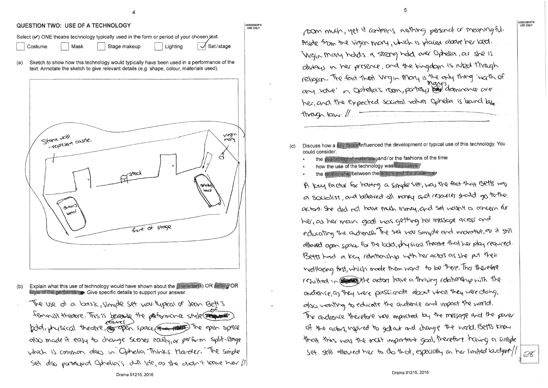ASSESSOR'S<br>USE ONLY

#### QUESTION TWO: USE OF A TECHNOLOGY

| Select (v) ONE theatre technology typically used in the form or period of your chosen text. |          |              |          |                                 |  |  |
|---------------------------------------------------------------------------------------------|----------|--------------|----------|---------------------------------|--|--|
| Costume                                                                                     | ' │ Mask | Stage makeup | Lighting | $\sqrt{\frac{3}{10}}$ Set/stage |  |  |

Sketch to show how this technology would typically have been used in a performance of the (a) text. Annotate the sketch to give relevant details (e.g. shape, colour, materials used).



- Explain what this use of technology would have shown about the character(s) OR setting OR  $(b)$ style of the performance. Give specific details to support your answer.
- The use of a basic, simple set was lypical of Jean Bett's feminist theorie. This is because the partomonic style and the also made it easy to change seenes easily or perform split-stage which is common also in Ophelia Thinks Harder. The simple Set also partaged Ophelia's dull life, as she didn't leave her //

|                           | poon much, yet it contains noth                                                                                                                                                                                                                                                                                                                                                                                                                                                                                                                  |
|---------------------------|--------------------------------------------------------------------------------------------------------------------------------------------------------------------------------------------------------------------------------------------------------------------------------------------------------------------------------------------------------------------------------------------------------------------------------------------------------------------------------------------------------------------------------------------------|
|                           | Aside from the virgin mary, which                                                                                                                                                                                                                                                                                                                                                                                                                                                                                                                |
|                           | Virgin mary holds a strong hold                                                                                                                                                                                                                                                                                                                                                                                                                                                                                                                  |
|                           | allidays in her presence, and the                                                                                                                                                                                                                                                                                                                                                                                                                                                                                                                |
|                           | religion. The forst that Migin More                                                                                                                                                                                                                                                                                                                                                                                                                                                                                                              |
|                           | any value" in Optellia's room, par                                                                                                                                                                                                                                                                                                                                                                                                                                                                                                               |
|                           | her, and the expected societal va                                                                                                                                                                                                                                                                                                                                                                                                                                                                                                                |
|                           | $Hw$ agn $lam$ .                                                                                                                                                                                                                                                                                                                                                                                                                                                                                                                                 |
|                           | $\overline{\mathbf{u}} = \overline{\mathbf{u}} = \mathbf{u} + \overline{\mathbf{u}} + \overline{\mathbf{u}} = \overline{\mathbf{u}} = \overline{\mathbf{u}} = \overline{\mathbf{u}} = \overline{\mathbf{u}} = \overline{\mathbf{u}} = \overline{\mathbf{u}} = \overline{\mathbf{u}} = \overline{\mathbf{u}} = \overline{\mathbf{u}} = \overline{\mathbf{u}} = \overline{\mathbf{u}} = \overline{\mathbf{u}} = \overline{\mathbf{u}} = \overline{\mathbf{u}} = \overline{\mathbf{u}} = \overline{\mathbf{u}} = \overline{\mathbf{u}} = \overline$ |
| $\left( \text{c} \right)$ | Discuss how a key factor/influenced the developm<br>could consider:                                                                                                                                                                                                                                                                                                                                                                                                                                                                              |
|                           | the availability of materials, and/ or the fashi                                                                                                                                                                                                                                                                                                                                                                                                                                                                                                 |
|                           | how the use of the technology was innovativ<br>the relationship/between the actors and the                                                                                                                                                                                                                                                                                                                                                                                                                                                       |
|                           | A key factor for having a simples                                                                                                                                                                                                                                                                                                                                                                                                                                                                                                                |
|                           | a socialist, and behered all noney                                                                                                                                                                                                                                                                                                                                                                                                                                                                                                               |
|                           | actors. She did not have much more                                                                                                                                                                                                                                                                                                                                                                                                                                                                                                               |
|                           | her, as her main good was getting                                                                                                                                                                                                                                                                                                                                                                                                                                                                                                                |
|                           | educating the adjence. The set was                                                                                                                                                                                                                                                                                                                                                                                                                                                                                                               |
|                           | allowed open space for the bodd, physi                                                                                                                                                                                                                                                                                                                                                                                                                                                                                                           |
|                           | Betts had a key relationship with                                                                                                                                                                                                                                                                                                                                                                                                                                                                                                                |
|                           | Wellberg first, which mode them wan                                                                                                                                                                                                                                                                                                                                                                                                                                                                                                              |
|                           | resulted in Englishe actors have a                                                                                                                                                                                                                                                                                                                                                                                                                                                                                                               |
|                           | andience, as they were passionate a                                                                                                                                                                                                                                                                                                                                                                                                                                                                                                              |
|                           | also wonting to educate the andler                                                                                                                                                                                                                                                                                                                                                                                                                                                                                                               |
|                           | The andience therefore now imporched                                                                                                                                                                                                                                                                                                                                                                                                                                                                                                             |
|                           | of the actor, inspired to gotat and                                                                                                                                                                                                                                                                                                                                                                                                                                                                                                              |
|                           | that this was the mast important                                                                                                                                                                                                                                                                                                                                                                                                                                                                                                                 |
|                           | set still allowed her to do that,                                                                                                                                                                                                                                                                                                                                                                                                                                                                                                                |
|                           |                                                                                                                                                                                                                                                                                                                                                                                                                                                                                                                                                  |

ASSESSOR'S LISE ONLY

ning personal or meaningful. is placed above her bed. over Ophetica, as she is tingdom is nied though my is the only thing incritin of the Condia is bound by الحباء بتدريا المحتجاجا ent or typical use of this technology. You ons of the time e audience et, was the fact that Betts was and resources shall go to the 4, and set wasn't a concern for g her missage across and u simple and innovative, as it still Ical theatre that her play required. n her actors as she put their at to be there. That therefore thriving relationship with the about what they were doing, re and impact the world. of by the message and the paver I change the world Betts knew + goal, therefore having a simple  $\frac{1}{2}$  especially on the limited budget/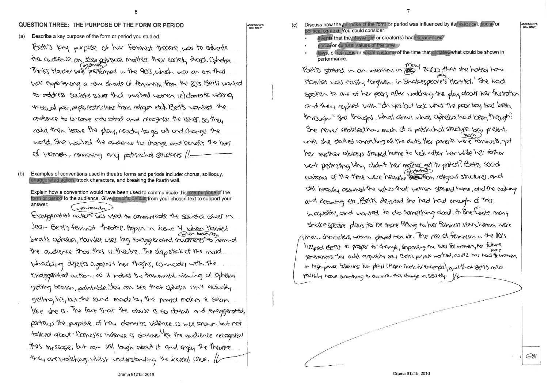#### QUESTION THREE: THE PURPOSE OF THE FORM OR PERIOD

 $(a)$ Describe a key purpose of the form or period you studied

Bett's key purpose of her feminist theorie, was to educate the audience on the position mostters their society faced. Othelpa Thinks Marder was performed in the 905, which was an era that was experiencing a new shade of feminism from the 80's. Betts wonted to address societal issues that involved women ie) dannestic violence, in equal pay, ape, restrictions from religion etc. Betts wonted the andience to be come educated and recognise the 1550ff. So they raid then leave the play, ready to go at and change the world. She wonted the audience to change and benefit the liver of vionner, removing any patriachal structures //-

Examples of conventions used in theatre forms and periods include: chorus, soliloquy,  $(b)$ exaggerated action, stock characters, and breaking the fourth wall.

Explain how a convention would have been used to communicate this key purpose of the form or period to the audience. Give/specific details from your chosen text to support your answer. with connecture

Exaggerated action Las used to communicate the societal issues in Jean Bett's feminist theatre. Again in Scene 4 when Hamlet beats ophelia, Hamlet uses big exaggerated movements to remind the audience that this is theatre. The slapstick of the maid whacking dejects against her thighs, connaider with the exaggerated action, as it makes the traumatic viening of Ophelia getting beaten, palatable You can see that opheria isn't actually getting hit, but the sund mode by the prajd makes it seem like she is. The fact that the above is so darras and exaggerated, partrays the perpose of has alomestic violence is well known, but not talked about. Domestic violence is doctors. Yet the audience recognises this message, but can still lough about it and enjoy the theorite. they are varithing, whilst understanding the Scrietal issue. If

ASSESSOR"  $(c)$ **USE ONLY** 

political context. You could consider: events that the playwright or creator(s) had experienced

- social or cultural values of the time
- laws, or religious or social customs of the time that dictated what could be shown in performance.

Betts storted in an interview in 2000 that she hated have Hamlet was easily forgiven, in Shakespeare's Hamlet. She had spoken to one of her peers after watching the play about her flustration and they respired with "In yes but look what the pear look had been through "She thought, what about what ophelia had been through? She perver realised has much of a patricularal structure was present, crift she started connecting all the dots ther parents were feminists, yet her mother always stayed home to look after her while her father went protesting why didn't her mother get to protest? Betts social customs of the time were heavily the time religious structures, and still heavily assumed the values that vermen stayed home, did the cooking and deaning etc. Betts decided she had had enough of this in equality, and wanted to do sumething about it she work many shakespeare plays, to be more fitting to her feminist views homen were main characters, women played men et. The rise of feminism in the 80's helped Betts to prosper for change, improving the lives for women, for future generations. You could arguebly say Betts perpose morted, as NZ has had & women in high power following her plays (Heter Cloak for example), and that Bett's could persibly have schething to do with this change in seriety. Yo

Discuss how the purpose of the form or period was influenced by its historical, social or

ASSESSOR'S **USE ONLY** 

C 8